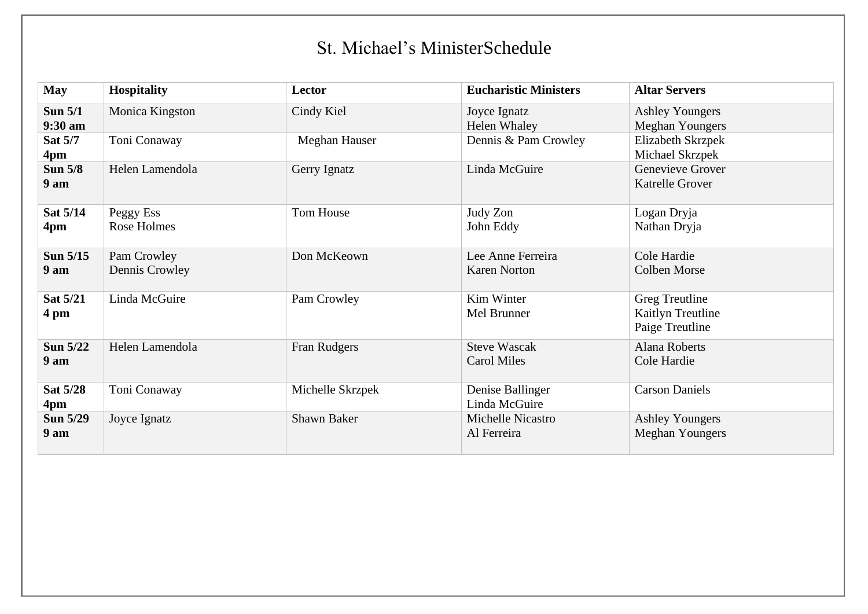## St. Michael's MinisterSchedule

| <b>May</b>                         | <b>Hospitality</b>            | Lector           | <b>Eucharistic Ministers</b>              | <b>Altar Servers</b>                                   |
|------------------------------------|-------------------------------|------------------|-------------------------------------------|--------------------------------------------------------|
| Sun $5/1$<br>9:30 am               | Monica Kingston               | Cindy Kiel       | Joyce Ignatz<br><b>Helen Whaley</b>       | <b>Ashley Youngers</b><br><b>Meghan Youngers</b>       |
| Sat 5/7<br>4pm                     | Toni Conaway                  | Meghan Hauser    | Dennis & Pam Crowley                      | Elizabeth Skrzpek<br>Michael Skrzpek                   |
| <b>Sun 5/8</b><br>9 <sub>am</sub>  | Helen Lamendola               | Gerry Ignatz     | Linda McGuire                             | Genevieve Grover<br><b>Katrelle Grover</b>             |
| Sat 5/14<br>4pm                    | Peggy Ess<br>Rose Holmes      | Tom House        | Judy Zon<br>John Eddy                     | Logan Dryja<br>Nathan Dryja                            |
| Sun 5/15<br>9 am                   | Pam Crowley<br>Dennis Crowley | Don McKeown      | Lee Anne Ferreira<br><b>Karen Norton</b>  | Cole Hardie<br><b>Colben Morse</b>                     |
| Sat 5/21<br>4 pm                   | Linda McGuire                 | Pam Crowley      | Kim Winter<br>Mel Brunner                 | Greg Treutline<br>Kaitlyn Treutline<br>Paige Treutline |
| <b>Sun 5/22</b><br>9 <sub>am</sub> | Helen Lamendola               | Fran Rudgers     | <b>Steve Wascak</b><br><b>Carol Miles</b> | Alana Roberts<br>Cole Hardie                           |
| Sat 5/28<br>4pm                    | Toni Conaway                  | Michelle Skrzpek | Denise Ballinger<br>Linda McGuire         | <b>Carson Daniels</b>                                  |
| <b>Sun 5/29</b><br>9 am            | Joyce Ignatz                  | Shawn Baker      | Michelle Nicastro<br>Al Ferreira          | <b>Ashley Youngers</b><br><b>Meghan Youngers</b>       |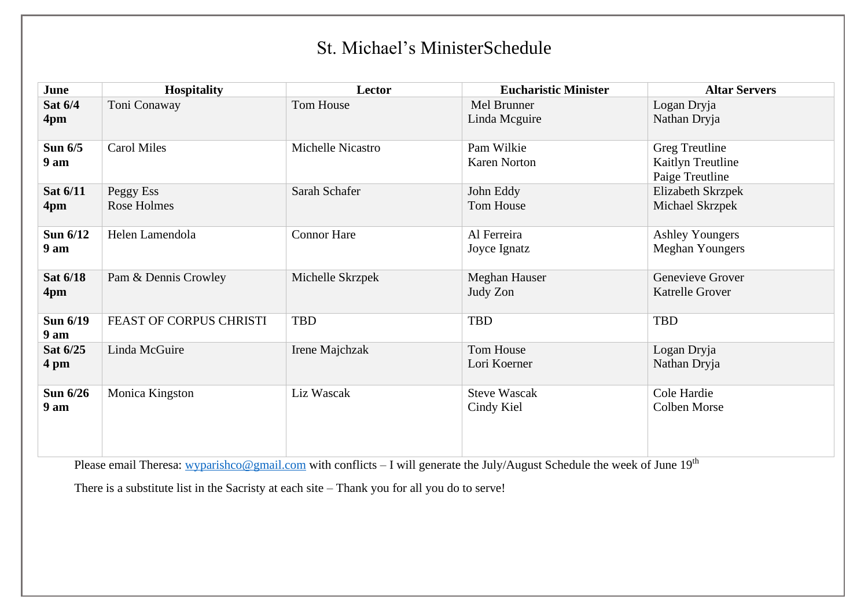## St. Michael's MinisterSchedule

| June                        | <b>Hospitality</b>       | Lector             | <b>Eucharistic Minister</b>       | <b>Altar Servers</b>                                   |
|-----------------------------|--------------------------|--------------------|-----------------------------------|--------------------------------------------------------|
| Sat 6/4<br>4pm              | Toni Conaway             | Tom House          | Mel Brunner<br>Linda Mcguire      | Logan Dryja<br>Nathan Dryja                            |
| Sun $6/5$<br>9 am           | <b>Carol Miles</b>       | Michelle Nicastro  | Pam Wilkie<br><b>Karen Norton</b> | Greg Treutline<br>Kaitlyn Treutline<br>Paige Treutline |
| Sat 6/11<br>4pm             | Peggy Ess<br>Rose Holmes | Sarah Schafer      | John Eddy<br>Tom House            | Elizabeth Skrzpek<br>Michael Skrzpek                   |
| Sun 6/12<br>9 <sub>am</sub> | Helen Lamendola          | <b>Connor Hare</b> | Al Ferreira<br>Joyce Ignatz       | <b>Ashley Youngers</b><br><b>Meghan Youngers</b>       |
| Sat 6/18<br>4pm             | Pam & Dennis Crowley     | Michelle Skrzpek   | Meghan Hauser<br>Judy Zon         | Genevieve Grover<br><b>Katrelle Grover</b>             |
| Sun 6/19<br>9 <sub>am</sub> | FEAST OF CORPUS CHRISTI  | <b>TBD</b>         | TBD                               | TBD                                                    |
| Sat 6/25<br>4 pm            | Linda McGuire            | Irene Majchzak     | Tom House<br>Lori Koerner         | Logan Dryja<br>Nathan Dryja                            |
| Sun 6/26<br>9 <sub>am</sub> | Monica Kingston          | Liz Wascak         | <b>Steve Wascak</b><br>Cindy Kiel | Cole Hardie<br><b>Colben Morse</b>                     |

Please email Theresa: [wyparishco@gmail.com](mailto:wyparishco@gmail.com) with conflicts – I will generate the July/August Schedule the week of June 19<sup>th</sup>

There is a substitute list in the Sacristy at each site – Thank you for all you do to serve!